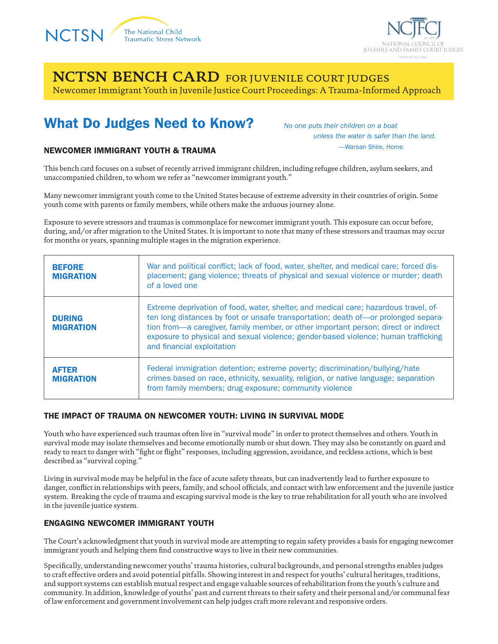



**NCTSN BENCH CARD** for juvenile court judges Newcomer Immigrant Youth in Juvenile Justice Court Proceedings: A Trauma-Informed Approach

## What Do Judges Need to Know?

*No one puts their children on a boat unless the water is safer than the land.* —Warsan Shire, Home

#### NEWCOMER IMMIGRANT YOUTH & TRAUMA

This bench card focuses on a subset of recently arrived immigrant children, including refugee children, asylum seekers, and unaccompanied children, to whom we refer as "newcomer immigrant youth."

Many newcomer immigrant youth come to the United States because of extreme adversity in their countries of origin. Some youth come with parents or family members, while others make the arduous journey alone.

Exposure to severe stressors and traumas is commonplace for newcomer immigrant youth. This exposure can occur before, during, and/or after migration to the United States. It is important to note that many of these stressors and traumas may occur for months or years, spanning multiple stages in the migration experience.

| <b>BEFORE</b><br><b>MIGRATION</b> | War and political conflict; lack of food, water, shelter, and medical care; forced dis-<br>placement; gang violence; threats of physical and sexual violence or murder; death<br>of a loved one                                                                                                                                                                                       |
|-----------------------------------|---------------------------------------------------------------------------------------------------------------------------------------------------------------------------------------------------------------------------------------------------------------------------------------------------------------------------------------------------------------------------------------|
| <b>DURING</b><br><b>MIGRATION</b> | Extreme deprivation of food, water, shelter, and medical care; hazardous travel, of-<br>ten long distances by foot or unsafe transportation; death of-or prolonged separa-<br>tion from—a caregiver, family member, or other important person; direct or indirect<br>exposure to physical and sexual violence; gender-based violence; human trafficking<br>and financial exploitation |
| <b>AFTER</b><br><b>MIGRATION</b>  | Federal immigration detention; extreme poverty; discrimination/bullying/hate<br>crimes based on race, ethnicity, sexuality, religion, or native language; separation<br>from family members; drug exposure; community violence                                                                                                                                                        |

#### THE IMPACT OF TRAUMA ON NEWCOMER YOUTH: LIVING IN SURVIVAL MODE

Youth who have experienced such traumas often live in "survival mode" in order to protect themselves and others. Youth in survival mode may isolate themselves and become emotionally numb or shut down. They may also be constantly on guard and ready to react to danger with "fight or flight" responses, including aggression, avoidance, and reckless actions, which is best described as "survival coping."

Living in survival mode may be helpful in the face of acute safety threats, but can inadvertently lead to further exposure to danger, conflict in relationships with peers, family, and school officials, and contact with law enforcement and the juvenile justice system. Breaking the cycle of trauma and escaping survival mode is the key to true rehabilitation for all youth who are involved in the juvenile justice system.

#### ENGAGING NEWCOMER IMMIGRANT YOUTH

The Court's acknowledgment that youth in survival mode are attempting to regain safety provides a basis for engaging newcomer immigrant youth and helping them find constructive ways to live in their new communities.

Specifically, understanding newcomer youths' trauma histories, cultural backgrounds, and personal strengths enables judges to craft effective orders and avoid potential pitfalls. Showing interest in and respect for youths' cultural heritages, traditions, and support systems can establish mutual respect and engage valuable sources of rehabilitation from the youth's culture and community. In addition, knowledge of youths' past and current threats to their safety and their personal and/or communal fear of law enforcement and government involvement can help judges craft more relevant and responsive orders.